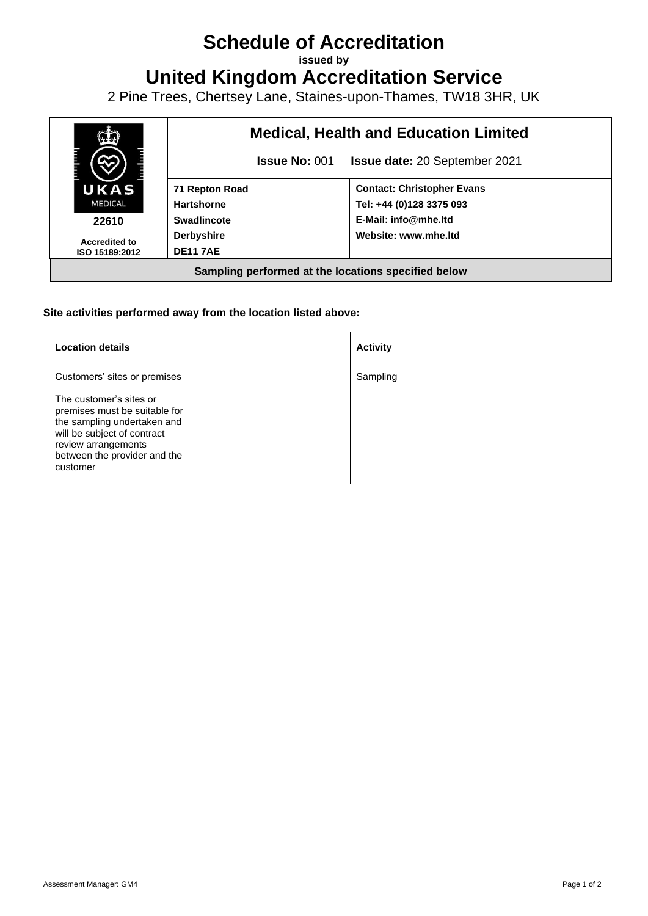## **Schedule of Accreditation**

**issued by**

**United Kingdom Accreditation Service**

2 Pine Trees, Chertsey Lane, Staines-upon-Thames, TW18 3HR, UK



## **Site activities performed away from the location listed above:**

| <b>Location details</b>                                                                                                                                                                   | <b>Activity</b> |
|-------------------------------------------------------------------------------------------------------------------------------------------------------------------------------------------|-----------------|
| Customers' sites or premises                                                                                                                                                              | Sampling        |
| The customer's sites or<br>premises must be suitable for<br>the sampling undertaken and<br>will be subject of contract<br>review arrangements<br>between the provider and the<br>customer |                 |